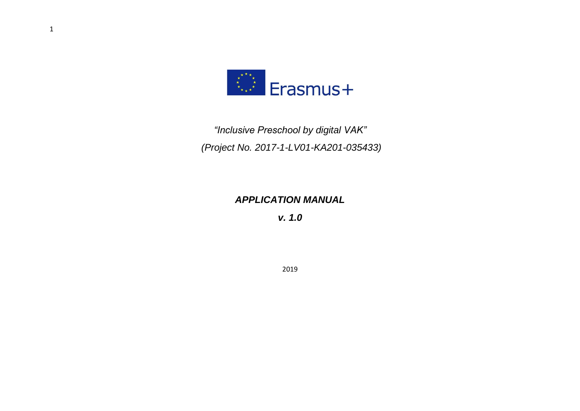

*"Inclusive Preschool by digital VAK" (Project No. 2017-1-LV01-KA201-035433)*

### *APPLICATION MANUAL*

*v. 1.0*

2019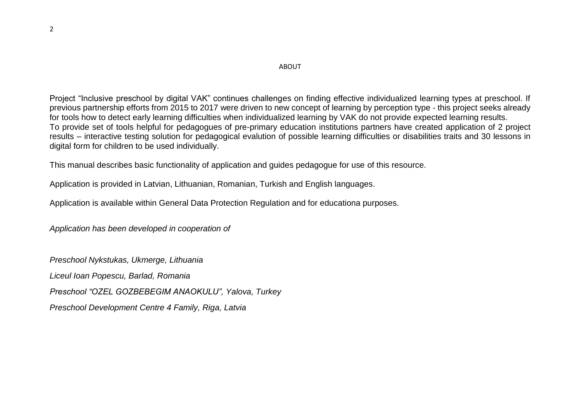### ABOUT

Project "Inclusive preschool by digital VAK" continues challenges on finding effective individualized learning types at preschool. If previous partnership efforts from 2015 to 2017 were driven to new concept of learning by perception type - this project seeks already for tools how to detect early learning difficulties when individualized learning by VAK do not provide expected learning results. To provide set of tools helpful for pedagogues of pre-primary education institutions partners have created application of 2 project results – interactive testing solution for pedagogical evalution of possible learning difficulties or disabilities traits and 30 lessons in digital form for children to be used individually.

This manual describes basic functionality of application and guides pedagogue for use of this resource.

Application is provided in Latvian, Lithuanian, Romanian, Turkish and English languages.

Application is available within General Data Protection Regulation and for educationa purposes.

*Application has been developed in cooperation of*

*Preschool Nykstukas, Ukmerge, Lithuania Liceul Ioan Popescu, Barlad, Romania Preschool "OZEL GOZBEBEGIM ANAOKULU", Yalova, Turkey Preschool Development Centre 4 Family, Riga, Latvia*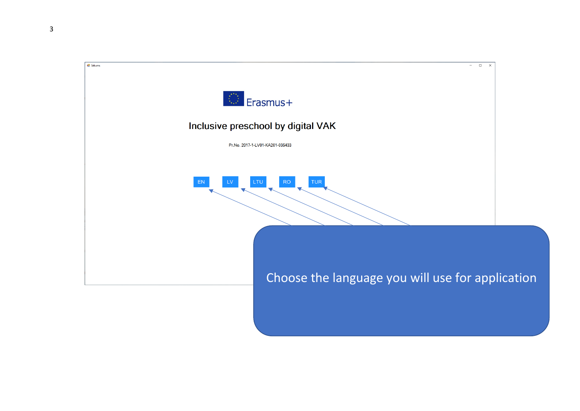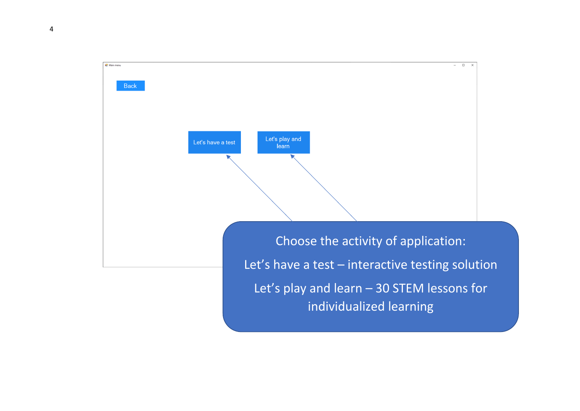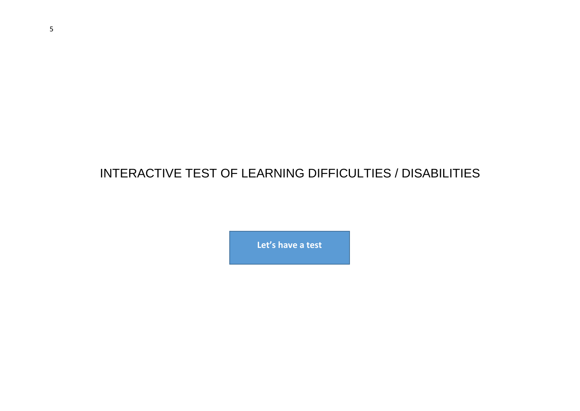# INTERACTIVE TEST OF LEARNING DIFFICULTIES / DISABILITIES

**Let's have a test**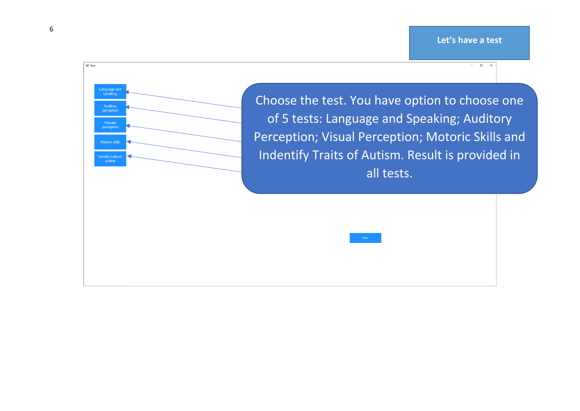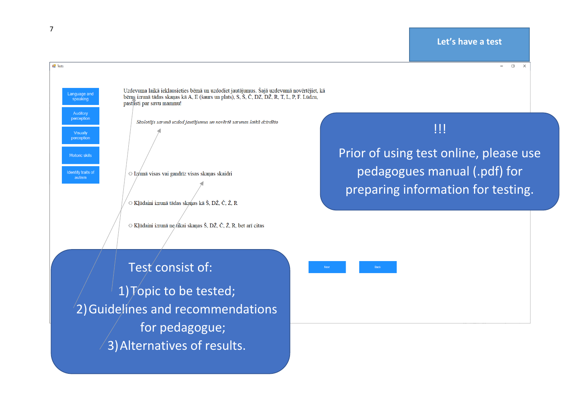**DE** Tests





Uzdevuma laikā ieklausieties bērnā un uzdodiet jautājumus. Šajā uzdevumā novērtējiet, kā bērns izrunā tādas skanas kā A, E (šaurs un plats), S, Š, Č, DZ, DŽ, R, T, L, P, F. Lūdzu, pastāsti par savu mammu!

Skolotājs sarunā uzdod jautājumus un novērtē sarunas laikā dzirdēto

○ Izrunā visas vai gandrīz visas skanas skaidri

○ Klūdaini izrunā tādas skanas kā Š. DŽ. Č. Ž. R

○ Klūdaini izrunā ne *fikai skanas* Š, DŽ, Č, Ž, R, bet arī citas

Prior of using test online, please use pedagogues manual (.pdf) for preparing information for testing.

!!!

## Test consist of:

1)Topic to be tested; 2)Guidelines and recommendations for pedagogue; 3)Alternatives of results.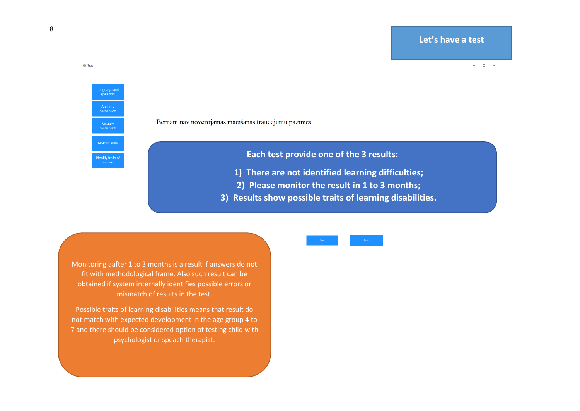

Possible traits of learning disabilities means that result do not match with expected development in the age group 4 to 7 and there should be considered option of testing child with psychologist or speach therapist.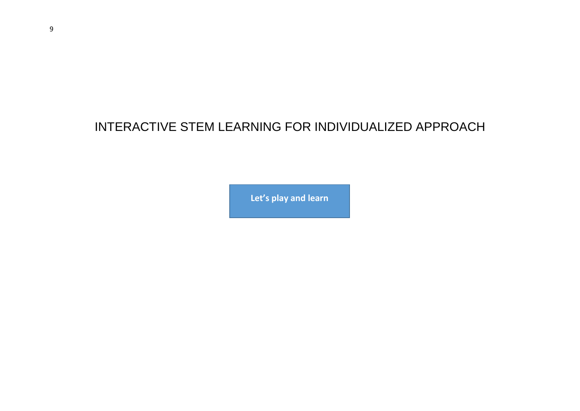# INTERACTIVE STEM LEARNING FOR INDIVIDUALIZED APPROACH

**Let's play and learn**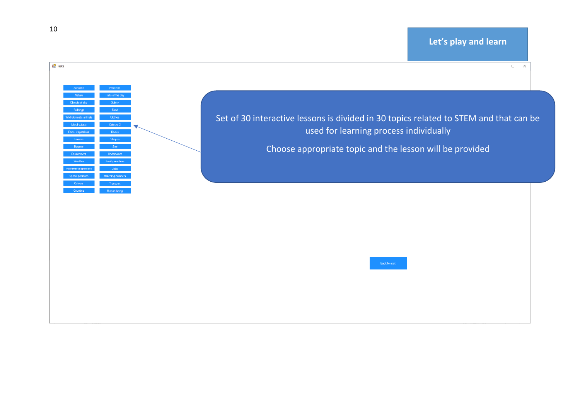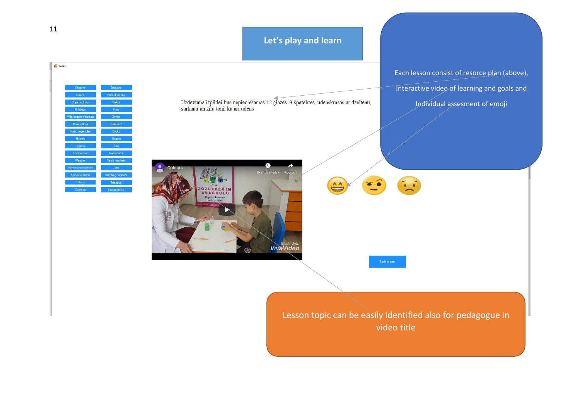### **Let's play and learn**

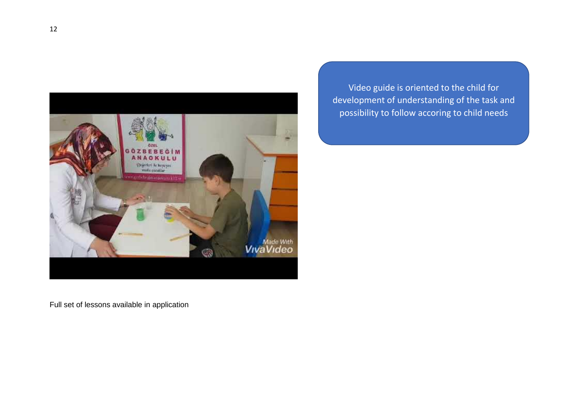

Video guide is oriented to the child for development of understanding of the task and possibility to follow accoring to child needs

Full set of lessons available in application